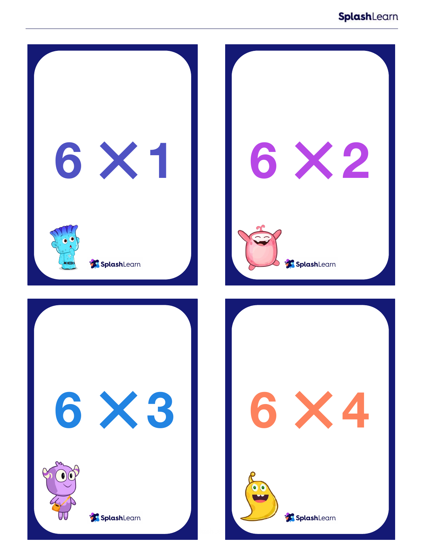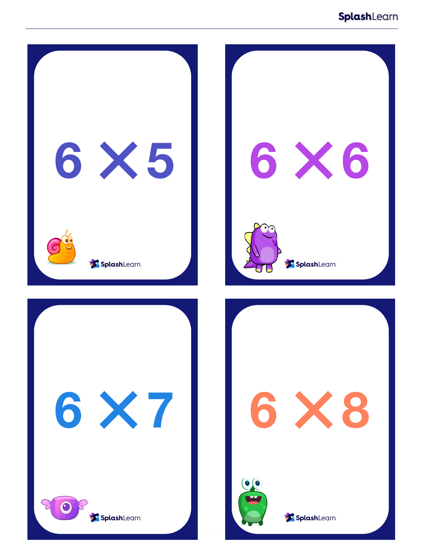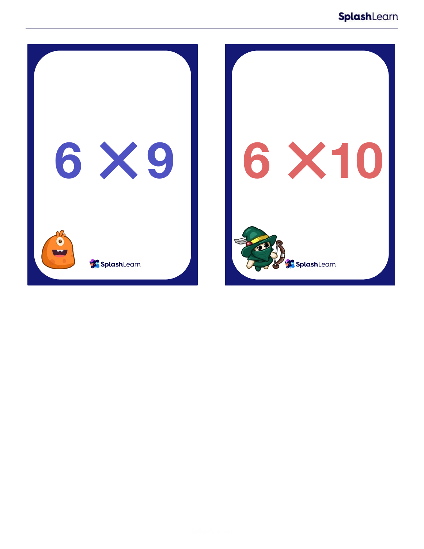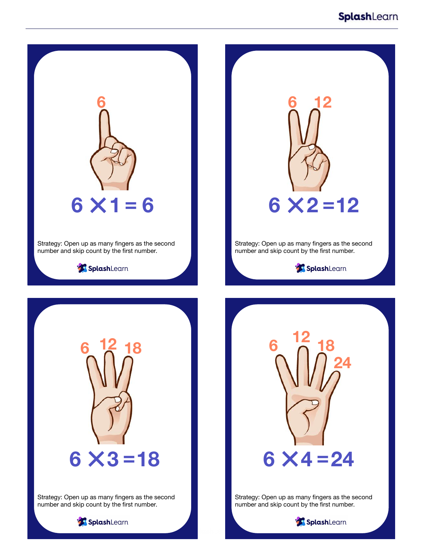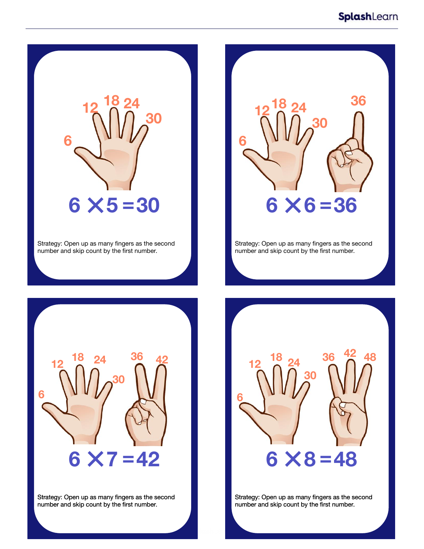

Strategy: Open up as many fingers as the second number and skip count by the first number.



Strategy: Open up as many fingers as the second number and skip count by the first number.



Strategy: Open up as many fingers as the second number and skip count by the first number.



Strategy: Open up as many fingers as the second number and skip count by the first number.